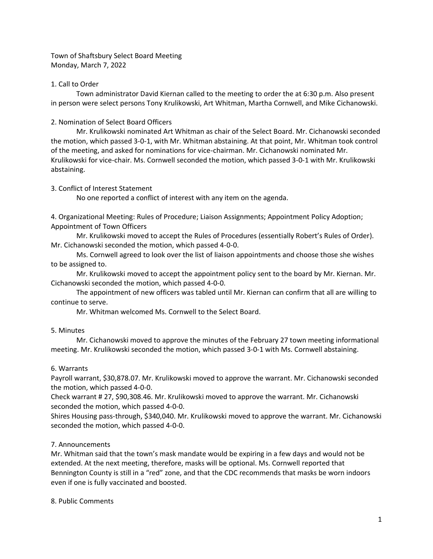Town of Shaftsbury Select Board Meeting Monday, March 7, 2022

## 1. Call to Order

Town administrator David Kiernan called to the meeting to order the at 6:30 p.m. Also present in person were select persons Tony Krulikowski, Art Whitman, Martha Cornwell, and Mike Cichanowski.

2. Nomination of Select Board Officers

Mr. Krulikowski nominated Art Whitman as chair of the Select Board. Mr. Cichanowski seconded the motion, which passed 3-0-1, with Mr. Whitman abstaining. At that point, Mr. Whitman took control of the meeting, and asked for nominations for vice-chairman. Mr. Cichanowski nominated Mr. Krulikowski for vice-chair. Ms. Cornwell seconded the motion, which passed 3-0-1 with Mr. Krulikowski abstaining.

# 3. Conflict of Interest Statement

No one reported a conflict of interest with any item on the agenda.

4. Organizational Meeting: Rules of Procedure; Liaison Assignments; Appointment Policy Adoption; Appointment of Town Officers

Mr. Krulikowski moved to accept the Rules of Procedures (essentially Robert's Rules of Order). Mr. Cichanowski seconded the motion, which passed 4-0-0.

Ms. Cornwell agreed to look over the list of liaison appointments and choose those she wishes to be assigned to.

Mr. Krulikowski moved to accept the appointment policy sent to the board by Mr. Kiernan. Mr. Cichanowski seconded the motion, which passed 4-0-0.

The appointment of new officers was tabled until Mr. Kiernan can confirm that all are willing to continue to serve.

Mr. Whitman welcomed Ms. Cornwell to the Select Board.

# 5. Minutes

Mr. Cichanowski moved to approve the minutes of the February 27 town meeting informational meeting. Mr. Krulikowski seconded the motion, which passed 3-0-1 with Ms. Cornwell abstaining.

# 6. Warrants

Payroll warrant, \$30,878.07. Mr. Krulikowski moved to approve the warrant. Mr. Cichanowski seconded the motion, which passed 4-0-0.

Check warrant # 27, \$90,308.46. Mr. Krulikowski moved to approve the warrant. Mr. Cichanowski seconded the motion, which passed 4-0-0.

Shires Housing pass-through, \$340,040. Mr. Krulikowski moved to approve the warrant. Mr. Cichanowski seconded the motion, which passed 4-0-0.

# 7. Announcements

Mr. Whitman said that the town's mask mandate would be expiring in a few days and would not be extended. At the next meeting, therefore, masks will be optional. Ms. Cornwell reported that Bennington County is still in a "red" zone, and that the CDC recommends that masks be worn indoors even if one is fully vaccinated and boosted.

## 8. Public Comments